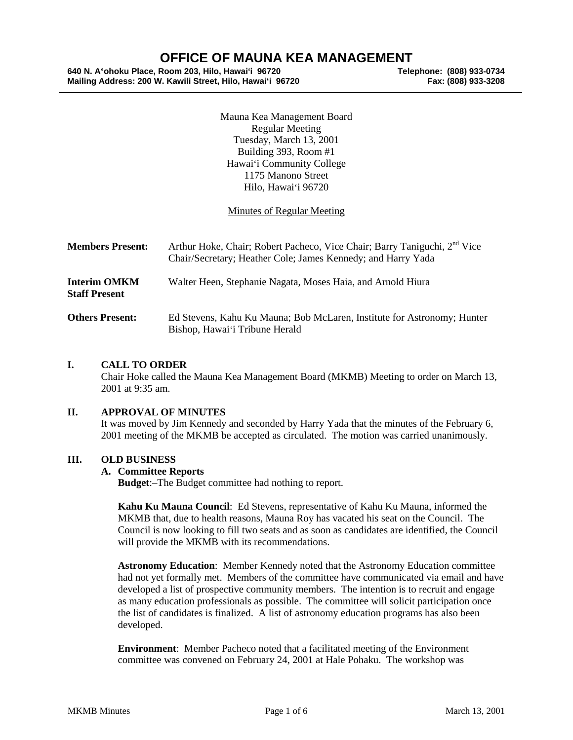# **OFFICE OF MAUNA KEA MANAGEMENT**<br>Room 203, Hilo, Hawai'i 96720<br>Telephone: (808) 933-0734

**640 N. A'ohoku Place, Room 203, Hilo, Hawai'i 96720 Telephone: (808) 933-0734 Mailing Address: 200 W. Kawili Street, Hilo, Hawai'i 96720 Fax: (808) 933-3208**

Mauna Kea Management Board Regular Meeting Tuesday, March 13, 2001 Building 393, Room #1 Hawai'i Community College 1175 Manono Street Hilo, Hawai'i 96720

## Minutes of Regular Meeting

| <b>Members Present:</b>                     | Arthur Hoke, Chair; Robert Pacheco, Vice Chair; Barry Taniguchi, 2 <sup>nd</sup> Vice<br>Chair/Secretary; Heather Cole; James Kennedy; and Harry Yada |
|---------------------------------------------|-------------------------------------------------------------------------------------------------------------------------------------------------------|
| <b>Interim OMKM</b><br><b>Staff Present</b> | Walter Heen, Stephanie Nagata, Moses Haia, and Arnold Hiura                                                                                           |
| <b>Others Present:</b>                      | Ed Stevens, Kahu Ku Mauna; Bob McLaren, Institute for Astronomy; Hunter<br>Bishop, Hawai'i Tribune Herald                                             |

## **I. CALL TO ORDER**

Chair Hoke called the Mauna Kea Management Board (MKMB) Meeting to order on March 13, 2001 at 9:35 am.

#### **II. APPROVAL OF MINUTES**

It was moved by Jim Kennedy and seconded by Harry Yada that the minutes of the February 6, 2001 meeting of the MKMB be accepted as circulated. The motion was carried unanimously.

#### **III. OLD BUSINESS**

#### **A. Committee Reports**

**Budget**:–The Budget committee had nothing to report.

**Kahu Ku Mauna Council**: Ed Stevens, representative of Kahu Ku Mauna, informed the MKMB that, due to health reasons, Mauna Roy has vacated his seat on the Council. The Council is now looking to fill two seats and as soon as candidates are identified, the Council will provide the MKMB with its recommendations.

**Astronomy Education**: Member Kennedy noted that the Astronomy Education committee had not yet formally met. Members of the committee have communicated via email and have developed a list of prospective community members. The intention is to recruit and engage as many education professionals as possible. The committee will solicit participation once the list of candidates is finalized. A list of astronomy education programs has also been developed.

**Environment**: Member Pacheco noted that a facilitated meeting of the Environment committee was convened on February 24, 2001 at Hale Pohaku. The workshop was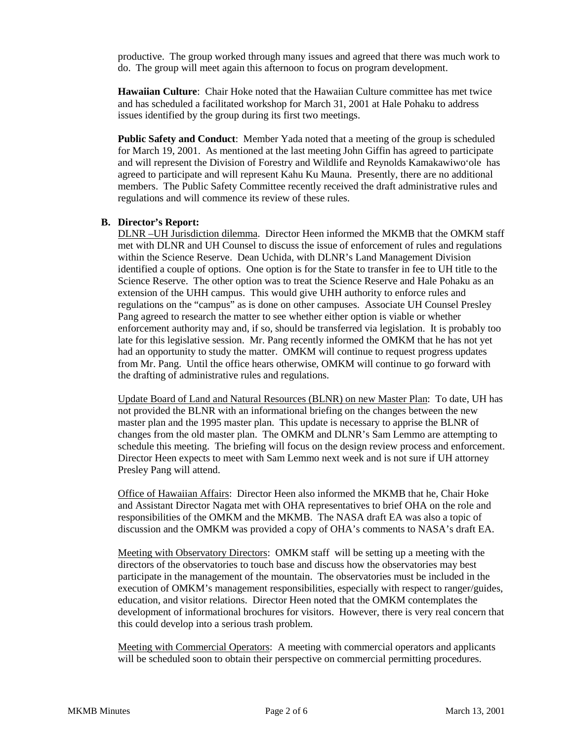productive. The group worked through many issues and agreed that there was much work to do. The group will meet again this afternoon to focus on program development.

**Hawaiian Culture**: Chair Hoke noted that the Hawaiian Culture committee has met twice and has scheduled a facilitated workshop for March 31, 2001 at Hale Pohaku to address issues identified by the group during its first two meetings.

**Public Safety and Conduct**: Member Yada noted that a meeting of the group is scheduled for March 19, 2001. As mentioned at the last meeting John Giffin has agreed to participate and will represent the Division of Forestry and Wildlife and Reynolds Kamakawiwo'ole has agreed to participate and will represent Kahu Ku Mauna. Presently, there are no additional members. The Public Safety Committee recently received the draft administrative rules and regulations and will commence its review of these rules.

## **B. Director's Report:**

DLNR –UH Jurisdiction dilemma. Director Heen informed the MKMB that the OMKM staff met with DLNR and UH Counsel to discuss the issue of enforcement of rules and regulations within the Science Reserve. Dean Uchida, with DLNR's Land Management Division identified a couple of options. One option is for the State to transfer in fee to UH title to the Science Reserve. The other option was to treat the Science Reserve and Hale Pohaku as an extension of the UHH campus. This would give UHH authority to enforce rules and regulations on the "campus" as is done on other campuses. Associate UH Counsel Presley Pang agreed to research the matter to see whether either option is viable or whether enforcement authority may and, if so, should be transferred via legislation. It is probably too late for this legislative session. Mr. Pang recently informed the OMKM that he has not yet had an opportunity to study the matter. OMKM will continue to request progress updates from Mr. Pang. Until the office hears otherwise, OMKM will continue to go forward with the drafting of administrative rules and regulations.

Update Board of Land and Natural Resources (BLNR) on new Master Plan: To date, UH has not provided the BLNR with an informational briefing on the changes between the new master plan and the 1995 master plan. This update is necessary to apprise the BLNR of changes from the old master plan. The OMKM and DLNR's Sam Lemmo are attempting to schedule this meeting. The briefing will focus on the design review process and enforcement. Director Heen expects to meet with Sam Lemmo next week and is not sure if UH attorney Presley Pang will attend.

Office of Hawaiian Affairs: Director Heen also informed the MKMB that he, Chair Hoke and Assistant Director Nagata met with OHA representatives to brief OHA on the role and responsibilities of the OMKM and the MKMB. The NASA draft EA was also a topic of discussion and the OMKM was provided a copy of OHA's comments to NASA's draft EA.

Meeting with Observatory Directors: OMKM staff will be setting up a meeting with the directors of the observatories to touch base and discuss how the observatories may best participate in the management of the mountain. The observatories must be included in the execution of OMKM's management responsibilities, especially with respect to ranger/guides, education, and visitor relations. Director Heen noted that the OMKM contemplates the development of informational brochures for visitors. However, there is very real concern that this could develop into a serious trash problem.

Meeting with Commercial Operators: A meeting with commercial operators and applicants will be scheduled soon to obtain their perspective on commercial permitting procedures.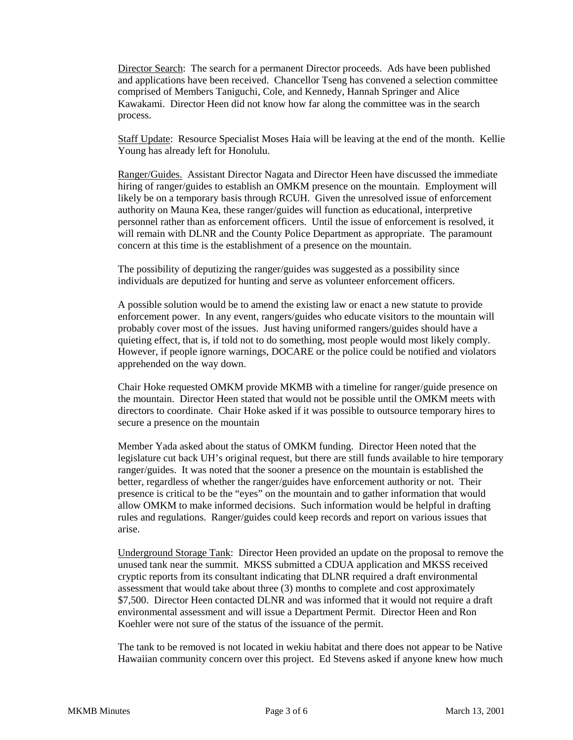Director Search: The search for a permanent Director proceeds. Ads have been published and applications have been received. Chancellor Tseng has convened a selection committee comprised of Members Taniguchi, Cole, and Kennedy, Hannah Springer and Alice Kawakami. Director Heen did not know how far along the committee was in the search process.

Staff Update: Resource Specialist Moses Haia will be leaving at the end of the month. Kellie Young has already left for Honolulu.

Ranger/Guides. Assistant Director Nagata and Director Heen have discussed the immediate hiring of ranger/guides to establish an OMKM presence on the mountain. Employment will likely be on a temporary basis through RCUH. Given the unresolved issue of enforcement authority on Mauna Kea, these ranger/guides will function as educational, interpretive personnel rather than as enforcement officers. Until the issue of enforcement is resolved, it will remain with DLNR and the County Police Department as appropriate. The paramount concern at this time is the establishment of a presence on the mountain.

The possibility of deputizing the ranger/guides was suggested as a possibility since individuals are deputized for hunting and serve as volunteer enforcement officers.

A possible solution would be to amend the existing law or enact a new statute to provide enforcement power. In any event, rangers/guides who educate visitors to the mountain will probably cover most of the issues. Just having uniformed rangers/guides should have a quieting effect, that is, if told not to do something, most people would most likely comply. However, if people ignore warnings, DOCARE or the police could be notified and violators apprehended on the way down.

Chair Hoke requested OMKM provide MKMB with a timeline for ranger/guide presence on the mountain. Director Heen stated that would not be possible until the OMKM meets with directors to coordinate. Chair Hoke asked if it was possible to outsource temporary hires to secure a presence on the mountain

Member Yada asked about the status of OMKM funding. Director Heen noted that the legislature cut back UH's original request, but there are still funds available to hire temporary ranger/guides. It was noted that the sooner a presence on the mountain is established the better, regardless of whether the ranger/guides have enforcement authority or not. Their presence is critical to be the "eyes" on the mountain and to gather information that would allow OMKM to make informed decisions. Such information would be helpful in drafting rules and regulations. Ranger/guides could keep records and report on various issues that arise.

Underground Storage Tank: Director Heen provided an update on the proposal to remove the unused tank near the summit. MKSS submitted a CDUA application and MKSS received cryptic reports from its consultant indicating that DLNR required a draft environmental assessment that would take about three (3) months to complete and cost approximately \$7,500. Director Heen contacted DLNR and was informed that it would not require a draft environmental assessment and will issue a Department Permit. Director Heen and Ron Koehler were not sure of the status of the issuance of the permit.

The tank to be removed is not located in wekiu habitat and there does not appear to be Native Hawaiian community concern over this project. Ed Stevens asked if anyone knew how much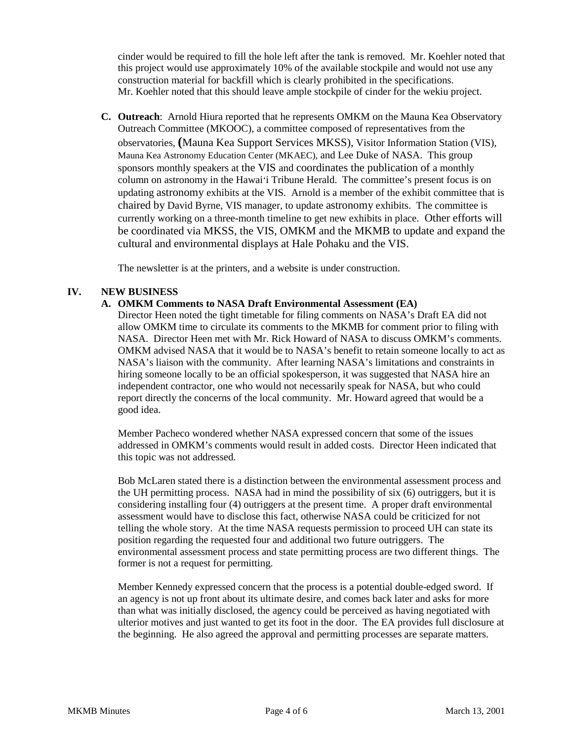cinder would be required to fill the hole left after the tank is removed. Mr. Koehler noted that this project would use approximately 10% of the available stockpile and would not use any construction material for backfill which is clearly prohibited in the specifications. Mr. Koehler noted that this should leave ample stockpile of cinder for the wekiu project.

**C. Outreach**: Arnold Hiura reported that he represents OMKM on the Mauna Kea Observatory Outreach Committee (MKOOC), a committee composed of representatives from the observatories, **(**Mauna Kea Support Services MKSS), Visitor Information Station (VIS), Mauna Kea Astronomy Education Center (MKAEC), and Lee Duke of NASA. This group sponsors monthly speakers at the VIS and coordinates the publication of a monthly column on astronomy in the Hawai'i Tribune Herald. The committee's present focus is on updating astronomy exhibits at the VIS. Arnold is a member of the exhibit committee that is chaired by David Byrne, VIS manager, to update astronomy exhibits. The committee is currently working on a three-month timeline to get new exhibits in place. Other efforts will be coordinated via MKSS, the VIS, OMKM and the MKMB to update and expand the cultural and environmental displays at Hale Pohaku and the VIS.

The newsletter is at the printers, and a website is under construction.

# **IV. NEW BUSINESS**

## **A. OMKM Comments to NASA Draft Environmental Assessment (EA)**

Director Heen noted the tight timetable for filing comments on NASA's Draft EA did not allow OMKM time to circulate its comments to the MKMB for comment prior to filing with NASA. Director Heen met with Mr. Rick Howard of NASA to discuss OMKM's comments. OMKM advised NASA that it would be to NASA's benefit to retain someone locally to act as NASA's liaison with the community. After learning NASA's limitations and constraints in hiring someone locally to be an official spokesperson, it was suggested that NASA hire an independent contractor, one who would not necessarily speak for NASA, but who could report directly the concerns of the local community. Mr. Howard agreed that would be a good idea.

Member Pacheco wondered whether NASA expressed concern that some of the issues addressed in OMKM's comments would result in added costs. Director Heen indicated that this topic was not addressed.

Bob McLaren stated there is a distinction between the environmental assessment process and the UH permitting process. NASA had in mind the possibility of six (6) outriggers, but it is considering installing four (4) outriggers at the present time. A proper draft environmental assessment would have to disclose this fact, otherwise NASA could be criticized for not telling the whole story. At the time NASA requests permission to proceed UH can state its position regarding the requested four and additional two future outriggers. The environmental assessment process and state permitting process are two different things. The former is not a request for permitting.

Member Kennedy expressed concern that the process is a potential double-edged sword. If an agency is not up front about its ultimate desire, and comes back later and asks for more than what was initially disclosed, the agency could be perceived as having negotiated with ulterior motives and just wanted to get its foot in the door. The EA provides full disclosure at the beginning. He also agreed the approval and permitting processes are separate matters.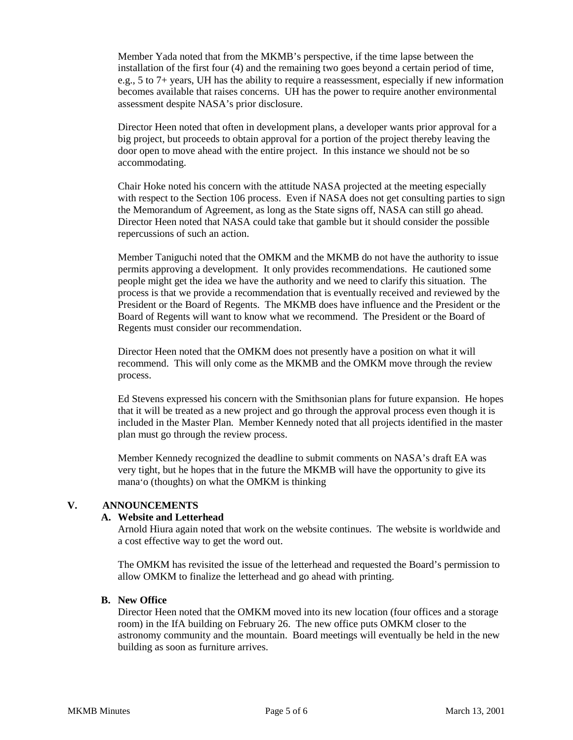Member Yada noted that from the MKMB's perspective, if the time lapse between the installation of the first four (4) and the remaining two goes beyond a certain period of time, e.g., 5 to 7+ years, UH has the ability to require a reassessment, especially if new information becomes available that raises concerns. UH has the power to require another environmental assessment despite NASA's prior disclosure.

Director Heen noted that often in development plans, a developer wants prior approval for a big project, but proceeds to obtain approval for a portion of the project thereby leaving the door open to move ahead with the entire project. In this instance we should not be so accommodating.

Chair Hoke noted his concern with the attitude NASA projected at the meeting especially with respect to the Section 106 process. Even if NASA does not get consulting parties to sign the Memorandum of Agreement, as long as the State signs off, NASA can still go ahead. Director Heen noted that NASA could take that gamble but it should consider the possible repercussions of such an action.

Member Taniguchi noted that the OMKM and the MKMB do not have the authority to issue permits approving a development. It only provides recommendations. He cautioned some people might get the idea we have the authority and we need to clarify this situation. The process is that we provide a recommendation that is eventually received and reviewed by the President or the Board of Regents. The MKMB does have influence and the President or the Board of Regents will want to know what we recommend. The President or the Board of Regents must consider our recommendation.

Director Heen noted that the OMKM does not presently have a position on what it will recommend. This will only come as the MKMB and the OMKM move through the review process.

Ed Stevens expressed his concern with the Smithsonian plans for future expansion. He hopes that it will be treated as a new project and go through the approval process even though it is included in the Master Plan. Member Kennedy noted that all projects identified in the master plan must go through the review process.

Member Kennedy recognized the deadline to submit comments on NASA's draft EA was very tight, but he hopes that in the future the MKMB will have the opportunity to give its mana'o (thoughts) on what the OMKM is thinking

## **V. ANNOUNCEMENTS**

#### **A. Website and Letterhead**

Arnold Hiura again noted that work on the website continues. The website is worldwide and a cost effective way to get the word out.

The OMKM has revisited the issue of the letterhead and requested the Board's permission to allow OMKM to finalize the letterhead and go ahead with printing.

#### **B. New Office**

Director Heen noted that the OMKM moved into its new location (four offices and a storage room) in the IfA building on February 26. The new office puts OMKM closer to the astronomy community and the mountain. Board meetings will eventually be held in the new building as soon as furniture arrives.